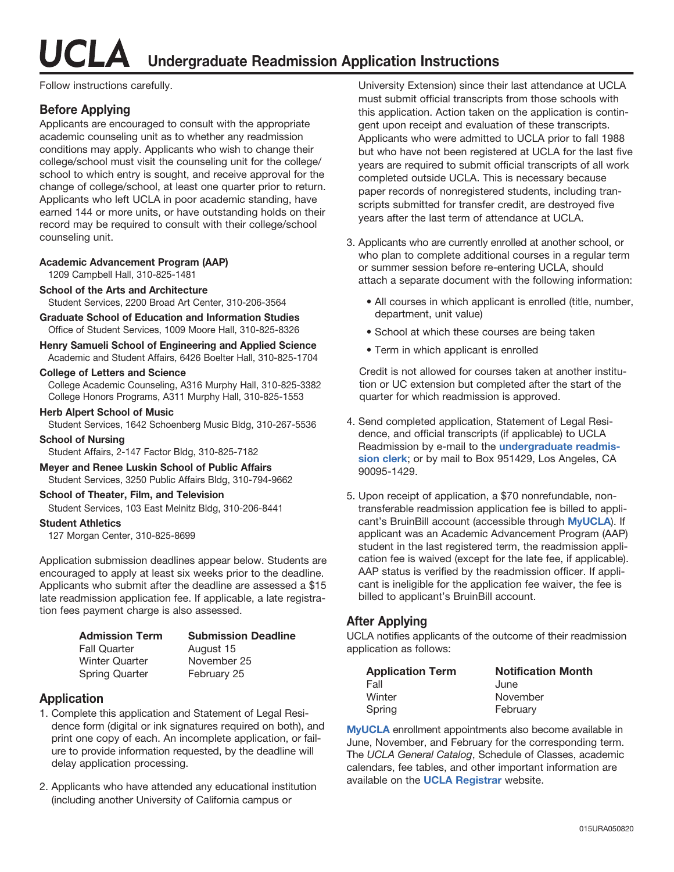UCLA **Undergraduate Readmission Application Instructions**

Follow instructions carefully.

#### **Before Applying**

Applicants are encouraged to consult with the appropriate academic counseling unit as to whether any readmission conditions may apply. Applicants who wish to change their college/school must visit the counseling unit for the college/ school to which entry is sought, and receive approval for the change of college/school, at least one quarter prior to return. Applicants who left UCLA in poor academic standing, have earned 144 or more units, or have outstanding holds on their record may be required to consult with their college/school counseling unit.

#### **Academic Advancement Program (AAP)**

1209 Campbell Hall, 310-825-1481

- **School of the Arts and Architecture** Student Services, 2200 Broad Art Center, 310-206-3564
- **Graduate School of Education and Information Studies**  Office of Student Services, 1009 Moore Hall, 310-825-8326
- **Henry Samueli School of Engineering and Applied Science**  Academic and Student Affairs, 6426 Boelter Hall, 310-825-1704

#### **College of Letters and Science**

 College Academic Counseling, A316 Murphy Hall, 310-825-3382 College Honors Programs, A311 Murphy Hall, 310-825-1553

#### **Herb Alpert School of Music**

Student Services, 1642 Schoenberg Music Bldg, 310-267-5536

#### **School of Nursing**

Student Affairs, 2-147 Factor Bldg, 310-825-7182

**Meyer and Renee Luskin School of Public Affairs**  Student Services, 3250 Public Affairs Bldg, 310-794-9662

#### **School of Theater, Film, and Television**

Student Services, 103 East Melnitz Bldg, 310-206-8441

#### **Student Athletics**

127 Morgan Center, 310-825-8699

Application submission deadlines appear below. Students are encouraged to apply at least six weeks prior to the deadline. Applicants who submit after the deadline are assessed a \$15 late readmission application fee. If applicable, a late registration fees payment charge is also assessed.

| <b>Admission Term</b> | <b>Submission Deadline</b> |
|-----------------------|----------------------------|
| <b>Fall Quarter</b>   | August 15                  |
| <b>Winter Quarter</b> | November 25                |
| <b>Spring Quarter</b> | February 25                |

#### **Application**

- 1. Complete this application and Statement of Legal Residence form (digital or ink signatures required on both), and print one copy of each. An incomplete application, or failure to provide information requested, by the deadline will delay application processing.
- 2. Applicants who have attended any educational institution (including another University of California campus or

University Extension) since their last attendance at UCLA must submit official transcripts from those schools with this application. Action taken on the application is contingent upon receipt and evaluation of these transcripts. Applicants who were admitted to UCLA prior to fall 1988 but who have not been registered at UCLA for the last five years are required to submit official transcripts of all work completed outside UCLA. This is necessary because paper records of nonregistered students, including transcripts submitted for transfer credit, are destroyed five years after the last term of attendance at UCLA.

- 3. Applicants who are currently enrolled at another school, or who plan to complete additional courses in a regular term or summer session before re-entering UCLA, should attach a separate document with the following information:
	- All courses in which applicant is enrolled (title, number, department, unit value)
	- School at which these courses are being taken
	- Term in which applicant is enrolled

Credit is not allowed for courses taken at another institution or UC extension but completed after the start of the quarter for which readmission is approved.

- 4. Send completed application, Statement of Legal Residence, and official transcripts (if applicable) to UCLA Readmission by e-mail to the **[undergraduate readmis](mailto:undergradreadmission@registrar.ucla.edu)[sion clerk](mailto:undergradreadmission@registrar.ucla.edu)**; or by mail to Box 951429, Los Angeles, CA 90095-1429.
- 5. Upon receipt of application, a \$70 nonrefundable, nontransferable readmission application fee is billed to applicant's BruinBill account (accessible through **[MyUCLA](http://my.ucla.edu)**). If applicant was an Academic Advancement Program (AAP) student in the last registered term, the readmission application fee is waived (except for the late fee, if applicable). AAP status is verified by the readmission officer. If applicant is ineligible for the application fee waiver, the fee is billed to applicant's BruinBill account.

#### **After Applying**

UCLA notifies applicants of the outcome of their readmission application as follows:

| <b>Application Term</b> | <b>Notification Month</b> |
|-------------------------|---------------------------|
| Fall                    | June                      |
| Winter                  | November                  |
| Spring                  | February                  |

**[MyUCLA](http://my.ucla.edu)** enrollment appointments also become available in June, November, and February for the corresponding term. The UCLA General Catalog, Schedule of Classes, academic calendars, fee tables, and other important information are available on the **[UCLA Registrar](https://www.registrar.ucla.edu)** website.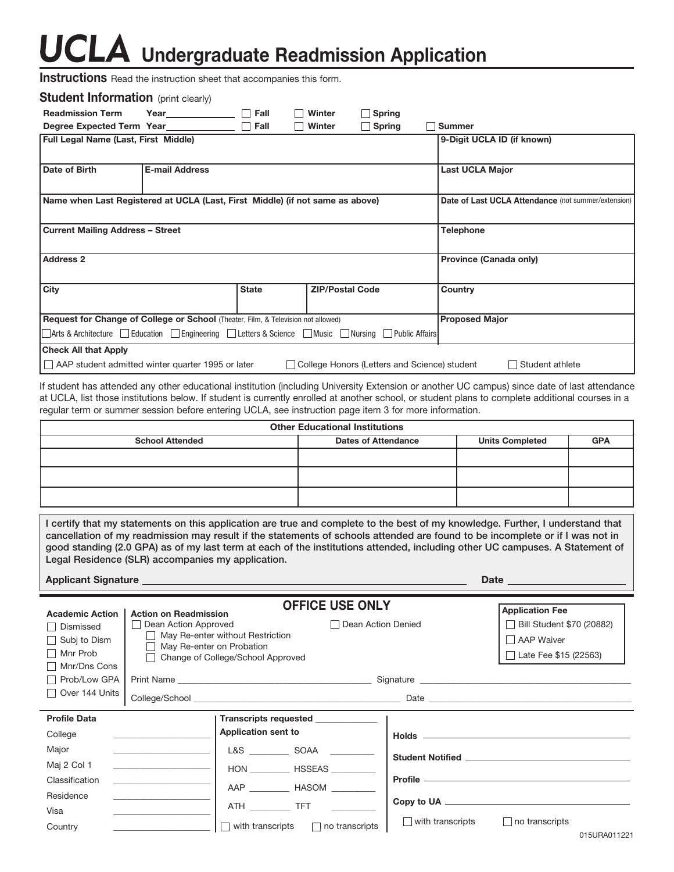# UCLA Undergraduate Readmission Application

**Instructions** Read the instruction sheet that accompanies this form.

| <b>Student Information</b> (print clearly)                                                  |                       |              |                        |               |                                                                 |
|---------------------------------------------------------------------------------------------|-----------------------|--------------|------------------------|---------------|-----------------------------------------------------------------|
| <b>Readmission Term</b>                                                                     | Year Fall             |              | Winter                 | $\Box$ Spring |                                                                 |
|                                                                                             |                       |              | Winter                 | Spring        | <b>Summer</b>                                                   |
| Full Legal Name (Last, First Middle)                                                        |                       |              |                        |               | 9-Digit UCLA ID (if known)                                      |
| Date of Birth                                                                               | <b>E-mail Address</b> |              |                        |               | <b>Last UCLA Major</b>                                          |
| Name when Last Registered at UCLA (Last, First Middle) (if not same as above)               |                       |              |                        |               | Date of Last UCLA Attendance (not summer/extension)             |
| <b>Current Mailing Address - Street</b>                                                     |                       |              |                        |               | <b>Telephone</b>                                                |
| <b>Address 2</b>                                                                            |                       |              |                        |               | Province (Canada only)                                          |
| <b>City</b>                                                                                 |                       | <b>State</b> | <b>ZIP/Postal Code</b> |               | Country                                                         |
| Request for Change of College or School (Theater, Film, & Television not allowed)           |                       |              | <b>Proposed Major</b>  |               |                                                                 |
| Arts & Architecture Gelucation Georgineering Getters & Science Getters & Nursing Getterians |                       |              |                        |               |                                                                 |
| <b>Check All that Apply</b>                                                                 |                       |              |                        |               |                                                                 |
| AAP student admitted winter quarter 1995 or later                                           |                       |              |                        |               | College Honors (Letters and Science) student<br>Student athlete |

If student has attended any other educational institution (including University Extension or another UC campus) since date of last attendance at UCLA, list those institutions below. If student is currently enrolled at another school, or student plans to complete additional courses in a regular term or summer session before entering UCLA, see instruction page item 3 for more information.

| <b>Other Educational Institutions</b> |                                                      |  |  |  |  |  |  |
|---------------------------------------|------------------------------------------------------|--|--|--|--|--|--|
| <b>School Attended</b>                | <b>Units Completed</b><br><b>Dates of Attendance</b> |  |  |  |  |  |  |
|                                       |                                                      |  |  |  |  |  |  |
|                                       |                                                      |  |  |  |  |  |  |
|                                       |                                                      |  |  |  |  |  |  |

**I certify that my statements on this application are true and complete to the best of my knowledge. Further, I understand that cancellation of my readmission may result if the statements of schools attended are found to be incomplete or if I was not in good standing (2.0 GPA) as of my last term at each of the institutions attended, including other UC campuses. A Statement of Legal Residence (SLR) accompanies my application.** 

Applicant Signature **Date Date Date Date Date Date Date D** 

| <b>Academic Action</b><br>Dismissed<br>$\Box$ Subj to Dism<br>Mnr Prob<br>Mnr/Dns Cons | <b>Action on Readmission</b><br>Dean Action Approved<br>May Re-enter on Probation | <b>OFFICE USE ONLY</b><br>Dean Action Denied<br>May Re-enter without Restriction<br>Change of College/School Approved |                         | <b>Application Fee</b><br>Bill Student \$70 (20882)<br>AAP Waiver<br>Late Fee \$15 (22563) |
|----------------------------------------------------------------------------------------|-----------------------------------------------------------------------------------|-----------------------------------------------------------------------------------------------------------------------|-------------------------|--------------------------------------------------------------------------------------------|
| Prob/Low GPA                                                                           |                                                                                   |                                                                                                                       |                         |                                                                                            |
| Over 144 Units                                                                         |                                                                                   |                                                                                                                       |                         |                                                                                            |
| <b>Profile Data</b>                                                                    |                                                                                   | Transcripts requested <b>was also also required</b>                                                                   |                         |                                                                                            |
| College                                                                                |                                                                                   | Application sent to                                                                                                   |                         |                                                                                            |
| Major                                                                                  |                                                                                   | L&S SOAA                                                                                                              |                         |                                                                                            |
| Maj 2 Col 1                                                                            | <u> 1980 - Andrea Andrew Maria (b. 1980)</u>                                      | HON HSSEAS                                                                                                            |                         |                                                                                            |
| Classification                                                                         |                                                                                   | AAP Lease HASOM HASOM Lease                                                                                           |                         |                                                                                            |
| Residence                                                                              |                                                                                   |                                                                                                                       |                         |                                                                                            |
| Visa                                                                                   |                                                                                   | ATH _______________ TFT _______                                                                                       |                         |                                                                                            |
| Country                                                                                |                                                                                   | $\Box$ with transcripts<br>$\Box$ no transcripts                                                                      | $\Box$ with transcripts | $\Box$ no transcripts                                                                      |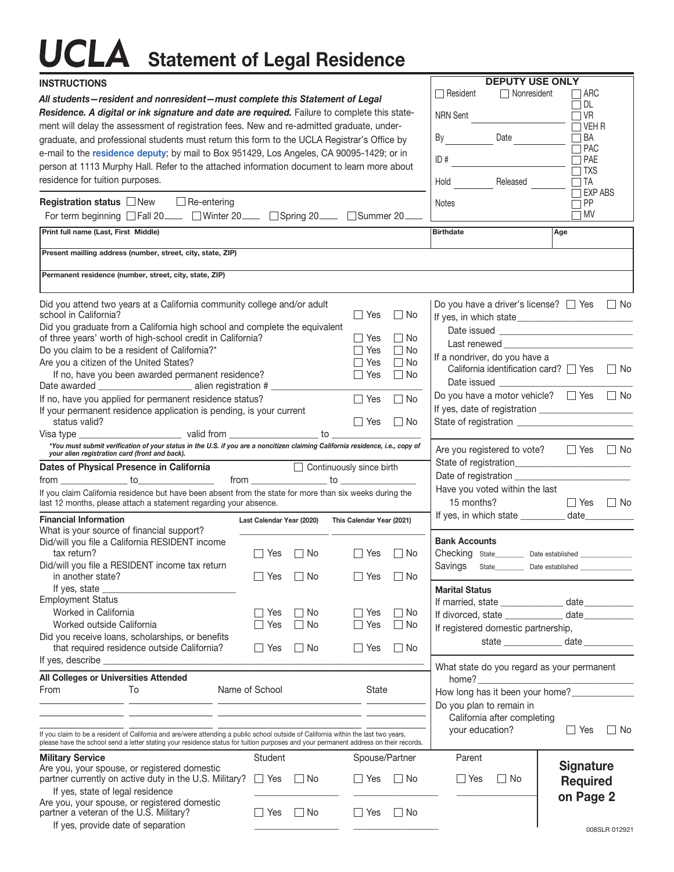# **UCLA** Statement of Legal Residence

| <b>INSTRUCTIONS</b>                                                                                                                                                                                                                                                         |                           |           |                           |                                  | <b>DEPUTY USE ONLY</b>                                       |                                           |
|-----------------------------------------------------------------------------------------------------------------------------------------------------------------------------------------------------------------------------------------------------------------------------|---------------------------|-----------|---------------------------|----------------------------------|--------------------------------------------------------------|-------------------------------------------|
| All students-resident and nonresident-must complete this Statement of Legal                                                                                                                                                                                                 |                           |           |                           | □ Resident<br>$\Box$ Nonresident | ARC<br>$\Box$ DL                                             |                                           |
| Residence. A digital or ink signature and date are required. Failure to complete this state-                                                                                                                                                                                |                           |           |                           | <b>NRN Sent</b>                  | $\Box$ VR                                                    |                                           |
| ment will delay the assessment of registration fees. New and re-admitted graduate, under-                                                                                                                                                                                   |                           |           |                           |                                  |                                                              | $\Box$ VEH R                              |
| graduate, and professional students must return this form to the UCLA Registrar's Office by                                                                                                                                                                                 |                           |           |                           |                                  | By<br>Date                                                   | $\Box$ BA<br>$\Box$ PAC                   |
| e-mail to the residence deputy; by mail to Box 951429, Los Angeles, CA 90095-1429; or in                                                                                                                                                                                    |                           |           |                           |                                  | ID#                                                          | $\Box$ PAE                                |
| person at 1113 Murphy Hall. Refer to the attached information document to learn more about<br>residence for tuition purposes.                                                                                                                                               |                           |           |                           |                                  | Hold<br>Released                                             | $\Box$ TXS<br>$\Box$ TA                   |
|                                                                                                                                                                                                                                                                             |                           |           |                           |                                  |                                                              | $\Box$ EXP ABS                            |
| <b>Registration status</b> □New<br>$\Box$ Re-entering                                                                                                                                                                                                                       |                           |           |                           |                                  | Notes                                                        | $\Box$ PP                                 |
| For term beginning □ Fall 20 <u>example</u> DWinter 20 example 20 Spring 20 example 20 example 20 example 20 example 20 example 20 example 20 example 20 example 20 example 20 example 20 example 20 example 20 example 20 example                                          |                           |           |                           |                                  |                                                              | $\Box$ MV                                 |
| Print full name (Last, First Middle)                                                                                                                                                                                                                                        |                           |           |                           |                                  | <b>Birthdate</b>                                             | Age                                       |
| Present mailling address (number, street, city, state, ZIP)                                                                                                                                                                                                                 |                           |           |                           |                                  |                                                              |                                           |
| Permanent residence (number, street, city, state, ZIP)                                                                                                                                                                                                                      |                           |           |                           |                                  |                                                              |                                           |
| Did you attend two years at a California community college and/or adult                                                                                                                                                                                                     |                           |           |                           |                                  | Do you have a driver's license? $\Box$ Yes                   | $\Box$ No                                 |
| school in California?                                                                                                                                                                                                                                                       |                           |           | $\Box$ Yes                | l I No                           |                                                              |                                           |
| Did you graduate from a California high school and complete the equivalent<br>of three years' worth of high-school credit in California?                                                                                                                                    |                           |           | l l Yes                   | - No                             |                                                              |                                           |
| Do you claim to be a resident of California?*                                                                                                                                                                                                                               |                           |           | l Yes                     | ∏ No                             |                                                              | Last renewed <b>Example 2008</b>          |
| Are you a citizen of the United States?                                                                                                                                                                                                                                     |                           |           | Yes                       | $\Box$ No                        | If a nondriver, do you have a                                |                                           |
| If no, have you been awarded permanent residence?                                                                                                                                                                                                                           |                           |           | Yes                       | ∣ No                             | California identification card? $\Box$ Yes                   | $\Box$ No                                 |
| If no, have you applied for permanent residence status?                                                                                                                                                                                                                     |                           |           | Yes                       | l INo                            | Do you have a motor vehicle? $\Box$ Yes $\Box$ No            |                                           |
| If your permanent residence application is pending, is your current<br>status valid?                                                                                                                                                                                        |                           |           | l I Yes                   | □ No                             |                                                              |                                           |
|                                                                                                                                                                                                                                                                             |                           |           |                           |                                  |                                                              |                                           |
| *You must submit verification of your status in the U.S. if you are a noncitizen claiming California residence, i.e., copy of<br>your alien registration card (front and back).                                                                                             |                           |           |                           |                                  | Are you registered to vote? $\Box$ Yes                       | ⊟ No                                      |
|                                                                                                                                                                                                                                                                             |                           |           |                           |                                  |                                                              |                                           |
| $\begin{array}{c}\n\text{from } \underline{\hspace{1cm}} \\ \hline\n\end{array}$                                                                                                                                                                                            |                           |           |                           |                                  | Have you voted within the last                               |                                           |
| If you claim California residence but have been absent from the state for more than six weeks during the<br>last 12 months, please attach a statement regarding your absence.                                                                                               |                           |           |                           |                                  | 15 months?                                                   | ∏ Yes<br>$\Box$ No                        |
| <b>Financial Information</b>                                                                                                                                                                                                                                                | Last Calendar Year (2020) |           | This Calendar Year (2021) |                                  | If yes, in which state __________ date________               |                                           |
| What is your source of financial support?                                                                                                                                                                                                                                   |                           |           |                           |                                  |                                                              |                                           |
| Did/will you file a California RESIDENT income                                                                                                                                                                                                                              |                           |           |                           |                                  | <b>Bank Accounts</b>                                         |                                           |
| tax return?<br>Did/will you file a RESIDENT income tax return                                                                                                                                                                                                               | Yes<br>$\perp$            | l INo     | $\Box$ Yes                | ⊟ No                             | Checking State_________ Date established<br>Savings<br>State | Date established                          |
| in another state?                                                                                                                                                                                                                                                           | Yes                       | $\Box$ No | $\Box$ Yes                | $\Box$ No                        |                                                              |                                           |
| If yes, state                                                                                                                                                                                                                                                               |                           |           |                           |                                  | <b>Marital Status</b>                                        |                                           |
| <b>Employment Status</b>                                                                                                                                                                                                                                                    |                           |           |                           |                                  | If married, state ________________ date__________            |                                           |
| Worked in California                                                                                                                                                                                                                                                        | l I Yes                   | ∣ ∣No     | ∣ Yes                     | $\Box$ No                        | If divorced, state ____________ date__________               |                                           |
| Worked outside California<br>Did you receive loans, scholarships, or benefits                                                                                                                                                                                               | $\Box$ Yes                | $\Box$ No | Yes                       | $\Box$ No                        | If registered domestic partnership,                          |                                           |
| that required residence outside California?                                                                                                                                                                                                                                 | $\Box$ Yes                | $\Box$ No | $\Box$ Yes                | $\Box$ No                        |                                                              | state _________________ date ____________ |
|                                                                                                                                                                                                                                                                             |                           |           |                           |                                  | What state do you regard as your permanent                   |                                           |
| All Colleges or Universities Attended                                                                                                                                                                                                                                       |                           |           |                           |                                  |                                                              |                                           |
| From<br>To                                                                                                                                                                                                                                                                  | Name of School            |           | State                     |                                  | How long has it been your home?                              |                                           |
|                                                                                                                                                                                                                                                                             |                           |           |                           |                                  | Do you plan to remain in                                     |                                           |
|                                                                                                                                                                                                                                                                             |                           |           |                           |                                  | California after completing                                  |                                           |
| If you claim to be a resident of California and are/were attending a public school outside of California within the last two years,<br>please have the school send a letter stating your residence status for tuition purposes and your permanent address on their records. |                           |           |                           |                                  | your education?                                              | ∐ Yes<br>l I No                           |
| <b>Military Service</b>                                                                                                                                                                                                                                                     | <b>Student</b>            |           | Spouse/Partner            |                                  | Parent                                                       |                                           |
| Are you, your spouse, or registered domestic<br>partner currently on active duty in the U.S. Military? $\Box$ Yes                                                                                                                                                           |                           | $\Box$ No |                           |                                  |                                                              | <b>Signature</b>                          |
| If yes, state of legal residence                                                                                                                                                                                                                                            |                           |           | ∐ Yes                     | $\Box$ No                        | $\Box$ Yes<br>$\Box$ No                                      | <b>Required</b>                           |
| Are you, your spouse, or registered domestic                                                                                                                                                                                                                                |                           |           |                           |                                  |                                                              | on Page 2                                 |
| partner a veteran of the U.S. Military?                                                                                                                                                                                                                                     | ∐ Yes                     | $\Box$ No | □ Yes                     | $\Box$ No                        |                                                              |                                           |
| If yes, provide date of separation                                                                                                                                                                                                                                          |                           |           |                           |                                  |                                                              | 008SLR 012921                             |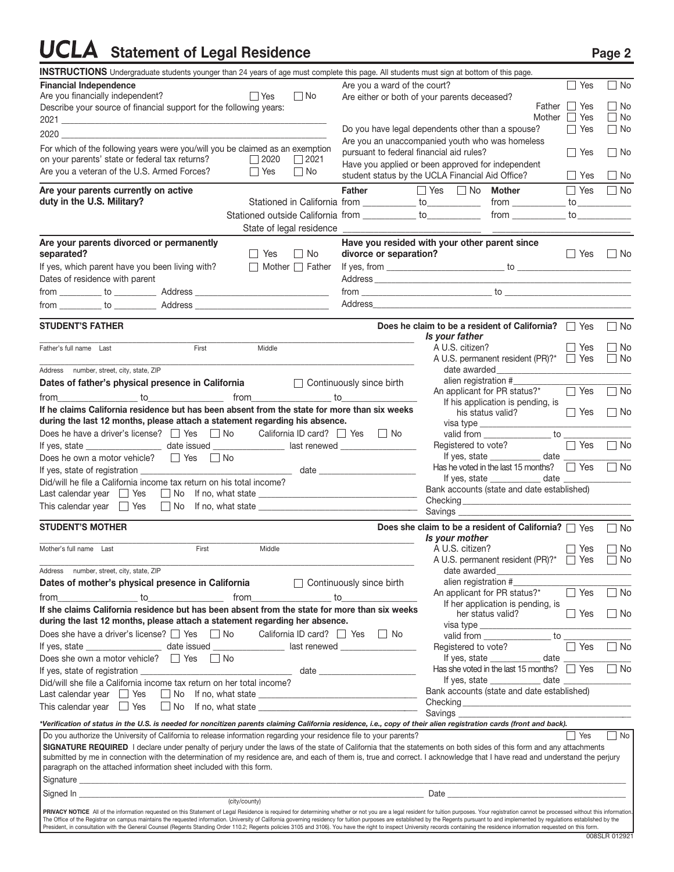### **UCLA** Statement of Legal Residence Page 2

| <b>INSTRUCTIONS</b> Undergraduate students younger than 24 years of age must complete this page. All students must sign at bottom of this page.                                                                                                                                                                                                                                                                                                                  |                                                             |                                          |                                                                                                                                                                                                                                | $\sqsupset$ Yes |                    |
|------------------------------------------------------------------------------------------------------------------------------------------------------------------------------------------------------------------------------------------------------------------------------------------------------------------------------------------------------------------------------------------------------------------------------------------------------------------|-------------------------------------------------------------|------------------------------------------|--------------------------------------------------------------------------------------------------------------------------------------------------------------------------------------------------------------------------------|-----------------|--------------------|
| <b>Financial Independence</b>                                                                                                                                                                                                                                                                                                                                                                                                                                    |                                                             | Are you a ward of the court?             |                                                                                                                                                                                                                                |                 | $\Box$ No          |
| Are you financially independent?<br>Describe your source of financial support for the following years:                                                                                                                                                                                                                                                                                                                                                           | $\Box$ Yes<br>$\Box$ No                                     |                                          | Are either or both of your parents deceased?                                                                                                                                                                                   | Father I Yes    | No                 |
|                                                                                                                                                                                                                                                                                                                                                                                                                                                                  |                                                             |                                          |                                                                                                                                                                                                                                | Mother 1 Yes    | No                 |
| 2020 году на представительно политической составительности по составительно политической составительности по                                                                                                                                                                                                                                                                                                                                                     |                                                             |                                          | Do you have legal dependents other than a spouse?                                                                                                                                                                              | $\Box$ Yes      | $\Box$ No          |
|                                                                                                                                                                                                                                                                                                                                                                                                                                                                  |                                                             |                                          | Are you an unaccompanied youth who was homeless                                                                                                                                                                                |                 |                    |
| For which of the following years were you/will you be claimed as an exemption<br>on your parents' state or federal tax returns?                                                                                                                                                                                                                                                                                                                                  | $\Box$ 2020<br>$\Box$ 2021                                  | pursuant to federal financial aid rules? |                                                                                                                                                                                                                                | $ $   Yes       | $\Box$ No          |
| Are you a veteran of the U.S. Armed Forces?                                                                                                                                                                                                                                                                                                                                                                                                                      | ∣ Yes<br>  No                                               |                                          | Have you applied or been approved for independent                                                                                                                                                                              |                 |                    |
|                                                                                                                                                                                                                                                                                                                                                                                                                                                                  |                                                             |                                          | student status by the UCLA Financial Aid Office?                                                                                                                                                                               | ∣∣Yes           | $\Box$ No          |
| Are your parents currently on active                                                                                                                                                                                                                                                                                                                                                                                                                             |                                                             | Father                                   | $\Box$ Yes $\Box$ No <b>Mother</b>                                                                                                                                                                                             | I Yes           | $\Box$ No          |
| duty in the U.S. Military?                                                                                                                                                                                                                                                                                                                                                                                                                                       | Stationed in California from ____________ to___________     |                                          |                                                                                                                                                                                                                                |                 |                    |
|                                                                                                                                                                                                                                                                                                                                                                                                                                                                  | Stationed outside California from ___________ to___________ |                                          | $from$ $\qquad \qquad$ to $\qquad \qquad$                                                                                                                                                                                      |                 |                    |
|                                                                                                                                                                                                                                                                                                                                                                                                                                                                  |                                                             |                                          |                                                                                                                                                                                                                                |                 |                    |
| Are your parents divorced or permanently                                                                                                                                                                                                                                                                                                                                                                                                                         |                                                             |                                          | Have you resided with your other parent since                                                                                                                                                                                  |                 |                    |
| separated?<br>If yes, which parent have you been living with?                                                                                                                                                                                                                                                                                                                                                                                                    | II Yes<br>$\Box$ No<br>$\Box$ Mother $\Box$ Father          | divorce or separation?                   |                                                                                                                                                                                                                                | II Yes          | $\Box$ No          |
| Dates of residence with parent                                                                                                                                                                                                                                                                                                                                                                                                                                   |                                                             |                                          |                                                                                                                                                                                                                                |                 |                    |
|                                                                                                                                                                                                                                                                                                                                                                                                                                                                  |                                                             |                                          |                                                                                                                                                                                                                                |                 |                    |
|                                                                                                                                                                                                                                                                                                                                                                                                                                                                  |                                                             |                                          | Address and the contract of the contract of the contract of the contract of the contract of the contract of the contract of the contract of the contract of the contract of the contract of the contract of the contract of th |                 |                    |
|                                                                                                                                                                                                                                                                                                                                                                                                                                                                  |                                                             |                                          |                                                                                                                                                                                                                                |                 |                    |
| <b>STUDENT'S FATHER</b>                                                                                                                                                                                                                                                                                                                                                                                                                                          |                                                             |                                          | Does he claim to be a resident of California? J Yes                                                                                                                                                                            |                 | $\Box$ No          |
|                                                                                                                                                                                                                                                                                                                                                                                                                                                                  |                                                             |                                          | Is your father                                                                                                                                                                                                                 |                 |                    |
| First<br>Father's full name Last                                                                                                                                                                                                                                                                                                                                                                                                                                 | Middle                                                      |                                          | A U.S. citizen?<br>A U.S. permanent resident (PR)?*  Signal Yes                                                                                                                                                                | $\Box$ Yes      | ∣ ∣No<br>$\Box$ No |
| Address number, street, city, state, ZIP                                                                                                                                                                                                                                                                                                                                                                                                                         |                                                             |                                          |                                                                                                                                                                                                                                |                 |                    |
| Dates of father's physical presence in California<br><u> and</u> Continuously since birth                                                                                                                                                                                                                                                                                                                                                                        |                                                             |                                          | alien registration #                                                                                                                                                                                                           |                 |                    |
|                                                                                                                                                                                                                                                                                                                                                                                                                                                                  |                                                             |                                          | An applicant for PR status?*                                                                                                                                                                                                   | $\Box$ Yes      | $\Box$ No          |
| If he claims California residence but has been absent from the state for more than six weeks                                                                                                                                                                                                                                                                                                                                                                     |                                                             |                                          | If his application is pending, is                                                                                                                                                                                              |                 |                    |
| during the last 12 months, please attach a statement regarding his absence.                                                                                                                                                                                                                                                                                                                                                                                      |                                                             |                                          | his status valid?<br>visa type ______________                                                                                                                                                                                  | $\Box$ Yes      | $\Box$ No          |
| Does he have a driver's license? [   Yes     No   California ID card?     Yes     No                                                                                                                                                                                                                                                                                                                                                                             |                                                             |                                          | valid from _________________ to _                                                                                                                                                                                              |                 |                    |
|                                                                                                                                                                                                                                                                                                                                                                                                                                                                  |                                                             |                                          | Registered to vote?                                                                                                                                                                                                            | $\Box$ Yes      | $\Box$ No          |
| Does he own a motor vehicle? $\Box$ Yes $\Box$ No                                                                                                                                                                                                                                                                                                                                                                                                                |                                                             |                                          | If yes, state $\frac{1}{2}$ date $\frac{1}{2}$                                                                                                                                                                                 |                 |                    |
|                                                                                                                                                                                                                                                                                                                                                                                                                                                                  |                                                             |                                          | Has he voted in the last 15 months? $\Box$ Yes                                                                                                                                                                                 |                 | $\Box$ No          |
| Did/will he file a California income tax return on his total income?                                                                                                                                                                                                                                                                                                                                                                                             |                                                             |                                          | Bank accounts (state and date established)                                                                                                                                                                                     |                 |                    |
| Last calendar year Second Yes Second You If no, what state <u>Contained Communications</u>                                                                                                                                                                                                                                                                                                                                                                       |                                                             |                                          |                                                                                                                                                                                                                                |                 |                    |
| This calendar year $\Box$ Yes $\Box$ No If no, what state ___________________________                                                                                                                                                                                                                                                                                                                                                                            |                                                             |                                          |                                                                                                                                                                                                                                |                 |                    |
| <b>STUDENT'S MOTHER</b>                                                                                                                                                                                                                                                                                                                                                                                                                                          |                                                             |                                          | Does she claim to be a resident of California? $\Box$ Yes                                                                                                                                                                      |                 | $\Box$ No          |
|                                                                                                                                                                                                                                                                                                                                                                                                                                                                  |                                                             |                                          | Is your mother                                                                                                                                                                                                                 |                 |                    |
| First<br>Mother's full name Last                                                                                                                                                                                                                                                                                                                                                                                                                                 | Middle                                                      |                                          | A U.S. citizen?                                                                                                                                                                                                                | II Yes          | ∣ _l No            |
|                                                                                                                                                                                                                                                                                                                                                                                                                                                                  |                                                             |                                          | A U.S. permanent resident (PR)?* \[ Yes                                                                                                                                                                                        |                 | $\Box$ No          |
| Address number, street, city, state, ZIP<br>Dates of mother's physical presence in California                                                                                                                                                                                                                                                                                                                                                                    |                                                             |                                          | date awarded <b>contract to the series</b><br>alien registration #                                                                                                                                                             |                 |                    |
|                                                                                                                                                                                                                                                                                                                                                                                                                                                                  |                                                             | $\Box$ Continuously since birth          | An applicant for PR status?*                                                                                                                                                                                                   | $\Box$ Yes      | $\Box$ No          |
| from to<br>If she claims California residence but has been absent from the state for more than six weeks                                                                                                                                                                                                                                                                                                                                                         | from<br>$\overline{\phantom{a}}$ to                         |                                          | If her application is pending, is                                                                                                                                                                                              |                 |                    |
| during the last 12 months, please attach a statement regarding her absence.                                                                                                                                                                                                                                                                                                                                                                                      |                                                             |                                          | her status valid?                                                                                                                                                                                                              | $\Box$ Yes      | ∐ No               |
| Does she have a driver's license? $\Box$ Yes $\Box$ No                                                                                                                                                                                                                                                                                                                                                                                                           | California ID card? $\Box$ Yes                              | l I No                                   | visa type _____________<br>to<br>valid from                                                                                                                                                                                    |                 |                    |
|                                                                                                                                                                                                                                                                                                                                                                                                                                                                  |                                                             |                                          | Registered to vote?                                                                                                                                                                                                            | Yes             | $\Box$ No          |
| Does she own a motor vehicle? $\Box$ Yes $\Box$ No                                                                                                                                                                                                                                                                                                                                                                                                               |                                                             |                                          | If yes, state $\qquad \qquad$<br>date $_{-}$                                                                                                                                                                                   |                 |                    |
|                                                                                                                                                                                                                                                                                                                                                                                                                                                                  |                                                             |                                          | Has she voted in the last 15 months? $\Box$ Yes                                                                                                                                                                                |                 | $\Box$ No          |
| Did/will she file a California income tax return on her total income?                                                                                                                                                                                                                                                                                                                                                                                            |                                                             |                                          | If yes, state _____________ date _____                                                                                                                                                                                         |                 |                    |
| Last calendar year $\Box$ Yes                                                                                                                                                                                                                                                                                                                                                                                                                                    |                                                             |                                          | Bank accounts (state and date established)                                                                                                                                                                                     |                 |                    |
| This calendar year $\Box$ Yes                                                                                                                                                                                                                                                                                                                                                                                                                                    |                                                             |                                          | Savings <b>Samual</b>                                                                                                                                                                                                          |                 |                    |
| *Verification of status in the U.S. is needed for noncitizen parents claiming California residence, i.e., copy of their alien registration cards (front and back).                                                                                                                                                                                                                                                                                               |                                                             |                                          |                                                                                                                                                                                                                                |                 |                    |
| Do you authorize the University of California to release information regarding your residence file to your parents?                                                                                                                                                                                                                                                                                                                                              |                                                             |                                          |                                                                                                                                                                                                                                | Yes             | No                 |
| SIGNATURE REQUIRED I declare under penalty of perjury under the laws of the state of California that the statements on both sides of this form and any attachments                                                                                                                                                                                                                                                                                               |                                                             |                                          |                                                                                                                                                                                                                                |                 |                    |
| submitted by me in connection with the determination of my residence are, and each of them is, true and correct. I acknowledge that I have read and understand the perjury                                                                                                                                                                                                                                                                                       |                                                             |                                          |                                                                                                                                                                                                                                |                 |                    |
| paragraph on the attached information sheet included with this form.                                                                                                                                                                                                                                                                                                                                                                                             |                                                             |                                          |                                                                                                                                                                                                                                |                 |                    |
|                                                                                                                                                                                                                                                                                                                                                                                                                                                                  |                                                             |                                          |                                                                                                                                                                                                                                |                 |                    |
|                                                                                                                                                                                                                                                                                                                                                                                                                                                                  | (city/county)                                               |                                          | Date                                                                                                                                                                                                                           |                 |                    |
| PRIVACY NOTICE All of the information requested on this Statement of Legal Residence is required for determining whether or not you are a legal resident for tuition purposes. Your registration cannot be processed without t                                                                                                                                                                                                                                   |                                                             |                                          |                                                                                                                                                                                                                                |                 |                    |
| The Office of the Registrar on campus maintains the requested information. University of California governing residency for tuition purposes are established by the Regents pursuant to and implemented by regulations establi<br>President, in consultation with the General Counsel (Regents Standing Order 110.2; Regents policies 3105 and 3106). You have the right to inspect University records containing the residence information requested on this fo |                                                             |                                          |                                                                                                                                                                                                                                |                 |                    |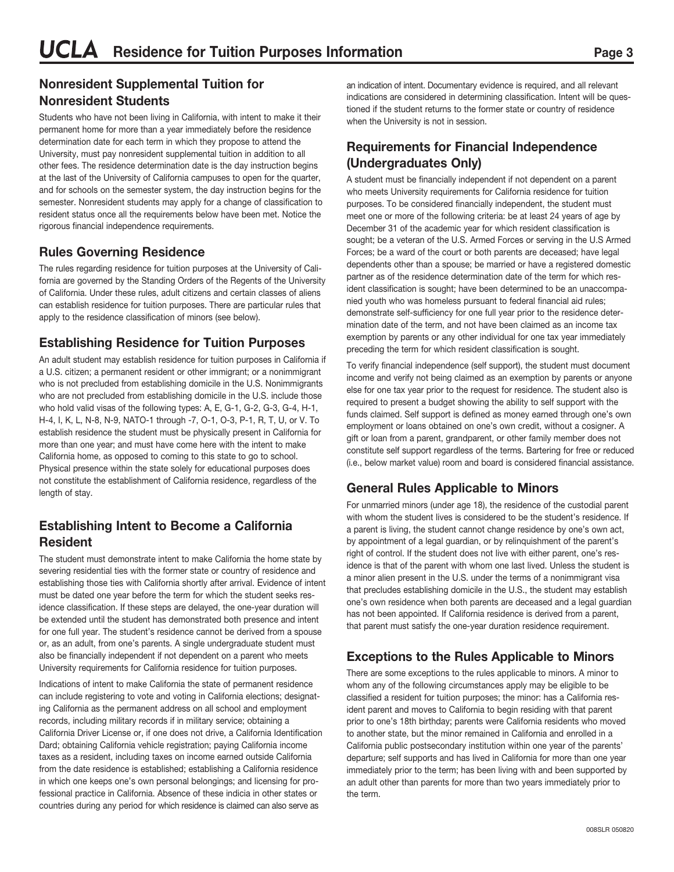#### **Nonresident Supplemental Tuition for Nonresident Students**

Students who have not been living in California, with intent to make it their permanent home for more than a year immediately before the residence determination date for each term in which they propose to attend the University, must pay nonresident supplemental tuition in addition to all other fees. The residence determination date is the day instruction begins at the last of the University of California campuses to open for the quarter, and for schools on the semester system, the day instruction begins for the semester. Nonresident students may apply for a change of classification to resident status once all the requirements below have been met. Notice the rigorous financial independence requirements.

#### **Rules Governing Residence**

The rules regarding residence for tuition purposes at the University of California are governed by the Standing Orders of the Regents of the University of California. Under these rules, adult citizens and certain classes of aliens can establish residence for tuition purposes. There are particular rules that apply to the residence classification of minors (see below).

#### **Establishing Residence for Tuition Purposes**

An adult student may establish residence for tuition purposes in California if a U.S. citizen; a permanent resident or other immigrant; or a nonimmigrant who is not precluded from establishing domicile in the U.S. Nonimmigrants who are not precluded from establishing domicile in the U.S. include those who hold valid visas of the following types: A, E, G-1, G-2, G-3, G-4, H-1, H-4, I, K, L, N-8, N-9, NATO-1 through -7, O-1, O-3, P-1, R, T, U, or V. To establish residence the student must be physically present in California for more than one year; and must have come here with the intent to make California home, as opposed to coming to this state to go to school. Physical presence within the state solely for educational purposes does not constitute the establishment of California residence, regardless of the length of stay.

#### **Establishing Intent to Become a California Resident**

The student must demonstrate intent to make California the home state by severing residential ties with the former state or country of residence and establishing those ties with California shortly after arrival. Evidence of intent must be dated one year before the term for which the student seeks residence classification. If these steps are delayed, the one-year duration will be extended until the student has demonstrated both presence and intent for one full year. The student's residence cannot be derived from a spouse or, as an adult, from one's parents. A single undergraduate student must also be financially independent if not dependent on a parent who meets University requirements for California residence for tuition purposes.

Indications of intent to make California the state of permanent residence can include registering to vote and voting in California elections; designating California as the permanent address on all school and employment records, including military records if in military service; obtaining a California Driver License or, if one does not drive, a California Identification Dard; obtaining California vehicle registration; paying California income taxes as a resident, including taxes on income earned outside California from the date residence is established; establishing a California residence in which one keeps one's own personal belongings; and licensing for professional practice in California. Absence of these indicia in other states or countries during any period for which residence is claimed can also serve as

an indication of intent. Documentary evidence is required, and all relevant indications are considered in determining classification. Intent will be questioned if the student returns to the former state or country of residence when the University is not in session.

#### **Requirements for Financial Independence (Undergraduates Only)**

A student must be financially independent if not dependent on a parent who meets University requirements for California residence for tuition purposes. To be considered financially independent, the student must meet one or more of the following criteria: be at least 24 years of age by December 31 of the academic year for which resident classification is sought; be a veteran of the U.S. Armed Forces or serving in the U.S Armed Forces; be a ward of the court or both parents are deceased; have legal dependents other than a spouse; be married or have a registered domestic partner as of the residence determination date of the term for which resident classification is sought; have been determined to be an unaccompanied youth who was homeless pursuant to federal financial aid rules; demonstrate self-sufficiency for one full year prior to the residence determination date of the term, and not have been claimed as an income tax exemption by parents or any other individual for one tax year immediately preceding the term for which resident classification is sought.

To verify financial independence (self support), the student must document income and verify not being claimed as an exemption by parents or anyone else for one tax year prior to the request for residence. The student also is required to present a budget showing the ability to self support with the funds claimed. Self support is defined as money earned through one's own employment or loans obtained on one's own credit, without a cosigner. A gift or loan from a parent, grandparent, or other family member does not constitute self support regardless of the terms. Bartering for free or reduced (i.e., below market value) room and board is considered financial assistance.

### **General Rules Applicable to Minors**

For unmarried minors (under age 18), the residence of the custodial parent with whom the student lives is considered to be the student's residence. If a parent is living, the student cannot change residence by one's own act, by appointment of a legal guardian, or by relinquishment of the parent's right of control. If the student does not live with either parent, one's residence is that of the parent with whom one last lived. Unless the student is a minor alien present in the U.S. under the terms of a nonimmigrant visa that precludes establishing domicile in the U.S., the student may establish one's own residence when both parents are deceased and a legal guardian has not been appointed. If California residence is derived from a parent, that parent must satisfy the one-year duration residence requirement.

#### **Exceptions to the Rules Applicable to Minors**

There are some exceptions to the rules applicable to minors. A minor to whom any of the following circumstances apply may be eligible to be classified a resident for tuition purposes; the minor: has a California resident parent and moves to California to begin residing with that parent prior to one's 18th birthday; parents were California residents who moved to another state, but the minor remained in California and enrolled in a California public postsecondary institution within one year of the parents' departure; self supports and has lived in California for more than one year immediately prior to the term; has been living with and been supported by an adult other than parents for more than two years immediately prior to the term.